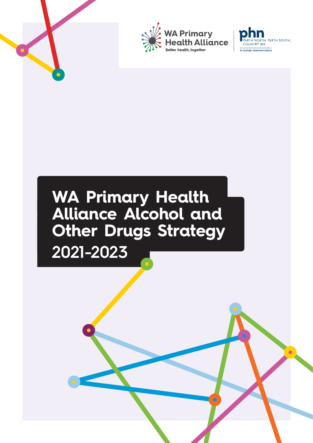



### **WA Primary Health Alliance Alcohol and Other Drugs Strategy 2021-2023**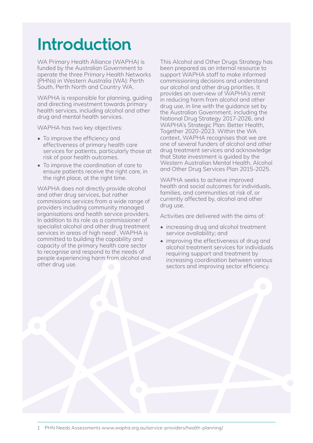### **Introduction**

WA Primary Health Alliance (WAPHA) is funded by the Australian Government to operate the three Primary Health Networks (PHNs) in Western Australia (WA): Perth South, Perth North and Country WA.

WAPHA is responsible for planning, quiding and directing investment towards primary health services, including alcohol and other drug and mental health services.

WAPHA has two key objectives:

- To improve the efficiency and effectiveness of primary health care services for patients, particularly those at risk of poor health outcomes.
- To improve the coordination of care to ensure patients receive the right care, in the right place, at the right time.

WAPHA does not directly provide alcohol and other drug services, but rather commissions services from a wide range of providers including community managed organisations and health service providers. In addition to its role as a commissioner of specialist alcohol and other drug treatment services in areas of high need<sup>1</sup>, WAPHA is committed to building the capability and capacity of the primary health care sector to recognise and respond to the needs of people experiencing harm from alcohol and other drug use.

This Alcohol and Other Drugs Strategy has been prepared as an internal resource to support WAPHA staff to make informed commissioning decisions and understand our alcohol and other drug priorities. It provides an overview of WAPHA's remit in reducing harm from alcohol and other drug use, in line with the guidance set by the Australian Government, including the National Drug Strategy 2017-2026, and WAPHA's Strategic Plan: Better Health, Together 2020-2023. Within the WA context, WAPHA recognises that we are one of several funders of alcohol and other drug treatment services and acknowledge that State investment is guided by the Western Australian Mental Health, Alcohol and Other Drug Services Plan 2015-2025.

WAPHA seeks to achieve improved health and social outcomes for individuals, families, and communities at risk of, or currently affected by, alcohol and other drug use.

Activities are delivered with the aims of:

- increasing drug and alcohol treatment service availability; and
- improving the effectiveness of drug and alcohol treatment services for individuals requiring support and treatment by increasing coordination between various sectors and improving sector efficiency.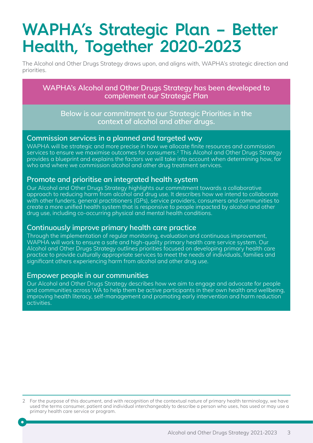### **WAPHA's Strategic Plan – Better Health, Together 2020-2023**

The Alcohol and Other Drugs Strategy draws upon, and aligns with, WAPHA's strategic direction and priorities.

**WAPHA's Alcohol and Other Drugs Strategy has been developed to complement our Strategic Plan**

**Below is our commitment to our Strategic Priorities in the context of alcohol and other drugs.**

### **Commission services in a planned and targeted way**

WAPHA will be strategic and more precise in how we allocate finite resources and commission services to ensure we maximise outcomes for consumers.<sup>2</sup> This Alcohol and Other Drugs Strategy provides a blueprint and explains the factors we will take into account when determining how, for who and where we commission alcohol and other drug treatment services.

### **Promote and prioritise an integrated health system**

Our Alcohol and Other Drugs Strategy highlights our commitment towards a collaborative approach to reducing harm from alcohol and drug use. It describes how we intend to collaborate with other funders, general practitioners (GPs), service providers, consumers and communities to create a more unified health system that is responsive to people impacted by alcohol and other drug use, including co-occurring physical and mental health conditions.

### **Continuously improve primary health care practice**

Through the implementation of regular monitoring, evaluation and continuous improvement, WAPHA will work to ensure a safe and high-quality primary health care service system. Our Alcohol and Other Drugs Strategy outlines priorities focused on developing primary health care practice to provide culturally appropriate services to meet the needs of individuals, families and .<br>significant others experiencing harm from alcohol and other drug use.

### **Empower people in our communities**

Our Alcohol and Other Drugs Strategy describes how we aim to engage and advocate for people and communities across WA to help them be active participants in their own health and wellbeing, improving health literacy, self-management and promoting early intervention and harm reduction activities.

<sup>2</sup> For the purpose of this document, and with recognition of the contextual nature of primary health terminology, we have used the terms consumer, patient and individual interchangeably to describe a person who uses, has used or may use a primary health care service or program.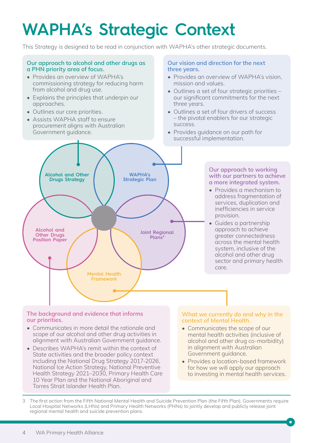# **WAPHA's Strategic Context**

This Strategy is designed to be read in conjunction with WAPHA's other strategic documents.

#### **Our approach to alcohol and other drugs as a PHN priority area of focus.**

- Provides an overview of WAPHA's commissioning strategy for reducing harm from alcohol and drug use.
- Explains the principles that underpin our approaches.
- Outlines our core priorities.
- Assists WAPHA staff to ensure procurement aligns with Australian Government guidance.

#### **Our vision and direction for the next three years.**

- Provides an overview of WAPHA's vision, mission and values.
- Outlines a set of four strategic priorities our significant commitments for the next three years.
- Outlines a set of four drivers of success – the pivotal enablers for our strategic success.
- Provides guidance on our path for successful implementation.



#### **Our approach to working with our partners to achieve a more integrated system.**

- Provides a mechanism to address fragmentation of services, duplication and inefficiencies in service provision.
- Guides a partnership approach to achieve greater connectedness across the mental health system, inclusive of the alcohol and other drug sector and primary health care.

#### **The background and evidence that informs our priorities.**

- Communicates in more detail the rationale and scope of our alcohol and other drug activities in alignment with Australian Government guidance.
- Describes WAPHA's remit within the context of State activities and the broader policy context including the National Drug Strategy 2017-2026, National Ice Action Strategy, National Preventive Health Strategy 2021–2030, Primary Health Care 10 Year Plan and the National Aboriginal and Torres Strait Islander Health Plan.

#### **What we currently do and why in the context of Mental Health.**

- Communicates the scope of our mental health activities (inclusive of alcohol and other drug co-morbidity) in alignment with Australian Government guidance.
- Provides a location-based framework for how we will apply our approach to investing in mental health services.

3 The first action from the Fifth National Mental Health and Suicide Prevention Plan (the Fifth Plan). Governments require Local Hospital Networks (LHNs) and Primary Health Networks (PHNs) to jointly develop and publicly release joint regional mental health and suicide prevention plans.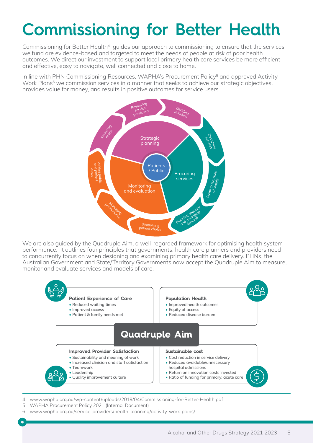# **Commissioning for Better Health**

Commissioning for Better Health<sup>4</sup> guides our approach to commissioning to ensure that the services we fund are evidence-based and targeted to meet the needs of people at risk of poor health outcomes. We direct our investment to support local primary health care services be more efficient and effective, easy to navigate, well connected and close to home.

In line with PHN Commissioning Resources, WAPHA's Procurement Policy<sup>5</sup> and approved Activity Work Plans<sup>6</sup> we commission services in a manner that seeks to achieve our strategic objectives, provides value for money, and results in positive outcomes for service users.



We are also guided by the Quadruple Aim, a well-regarded framework for optimising health system performance. It outlines four principles that governments, health care planners and providers need to concurrently focus on when designing and examining primary health care delivery. PHNs, the Australian Government and State/Territory Governments now accept the Quadruple Aim to measure, monitor and evaluate services and models of care.



4 [www.wapha.org.au/wp-content/uploads/2019/04/Commissioning-for-Better-Health.pdf](https://www.wapha.org.au/wp-content/uploads/2019/04/Commissioning-for-Better-Health.pdf)

- 5 WAPHA Procurement Policy 2021 (Internal Document)
- 6 [www.wapha.org.au/service-providers/health-planning/activity-work-plans/](http://www.wapha.org.au/service-providers/health-planning/activity-work-plans/)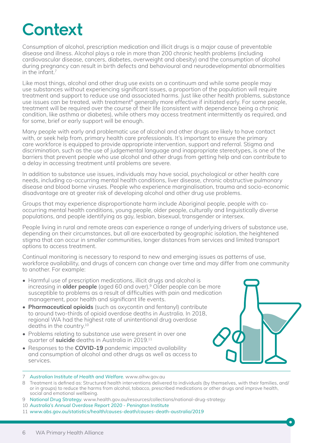### **Context**

Consumption of alcohol, prescription medication and illicit drugs is a major cause of preventable disease and illness. Alcohol plays a role in more than 200 chronic health problems (including cardiovascular disease, cancers, diabetes, overweight and obesity) and the consumption of alcohol during pregnancy can result in birth defects and behavioural and neurodevelopmental abnormalities in the infant  $7$ 

Like most things, alcohol and other drug use exists on a continuum and while some people may use substances without experiencing significant issues, a proportion of the population will require treatment and support to reduce use and associated harms. Just like other health problems, substance use issues can be treated, with treatment<sup>8</sup> generally more effective if initiated early. For some people, treatment will be required over the course of their life (consistent with dependence being a chronic condition, like asthma or diabetes), while others may access treatment intermittently as required, and for some, brief or early support will be enough.

Many people with early and problematic use of alcohol and other drugs are likely to have contact with, or seek help from, primary health care professionals. It's important to ensure the primary care workforce is equipped to provide appropriate intervention, support and referral. Stigma and discrimination, such as the use of judgemental language and inappropriate stereotypes, is one of the barriers that prevent people who use alcohol and other drugs from getting help and can contribute to a delay in accessing treatment until problems are severe.

In addition to substance use issues, individuals may have social, psychological or other health care needs, including co-occurring mental health conditions, liver disease, chronic obstructive pulmonary disease and blood borne viruses. People who experience marginalisation, trauma and socio-economic disadvantage are at greater risk of developing alcohol and other drug use problems.

Groups that may experience disproportionate harm include Aboriginal people, people with cooccurring mental health conditions, young people, older people, culturally and linguistically diverse populations, and people identifying as gay, lesbian, bisexual, transgender or intersex.

People living in rural and remote areas can experience a range of underlying drivers of substance use, depending on their circumstances, but all are exacerbated by geographic isolation, the heightened stigma that can occur in smaller communities, longer distances from services and limited transport options to access treatment.

Continual monitoring is necessary to respond to new and emerging issues as patterns of use, workforce availability, and drugs of concern can change over time and may differ from one community to another. For example:

- Harmful use of prescription medications, illicit drugs and alcohol is increasing in **older people** (aged 60 and over).9 Older people can be more susceptible to problems as a result of difficulties with pain and medication management, poor health and significant life events.
- **Pharmaceutical opioids** (such as oxycontin and fentanyl) contribute to around two-thirds of opioid overdose deaths in Australia. In 2018, regional WA had the highest rate of unintentional drug overdose deaths in the country.10
- Problems relating to substance use were present in over one quarter of **suicide** deaths in Australia in 2019.11
- Responses to the **COVID-19** pandemic impacted availability and consumption of alcohol and other drugs as well as access to services.



- 7 *[Australian Institute of Health and Welfare](http://www.aihw.gov.au)*. www.aihw.gov.au
- 8 Treatment is defined as: Structured health interventions delivered to individuals (by themselves, with their families, and/ or in groups) to reduce the harms from alcohol, tobacco, prescribed medications or other drugs and improve health, social and emotional wellbeing.
- 9 *[National Drug Strategy](http://www.health.gov.au/resources/collections/national-drug-strategy)*. www.health.gov.au/resources/collections/national-drug-strategy
- 10 *[Australia's Annual Overdose Report 2020 Penington Institute](https://www.penington.org.au/publications/2020-overdose-report/)*
- 11 *[www.abs.gov.au/statistics/health/causes-death/causes-death-australia/2019](http://www.abs.gov.au/statistics/health/causes-death/causes-death-australia/2019)*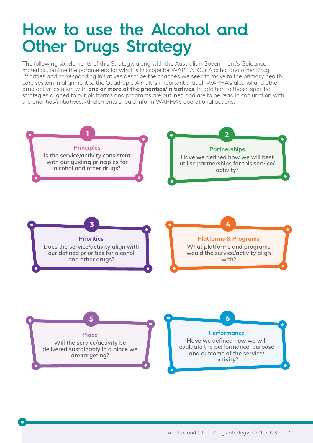### **How to use the Alcohol and Other Drugs Strategy**

The following six elements of this Strategy, along with the Australian Government's Guidance materials, outline the parameters for what is in scope for WAPHA. Our Alcohol and other Drug Priorities and corresponding initiatives describe the changes we seek to make to the primary health care system in alignment to the Quadruple Aim. It is important that all WAPHA's alcohol and other drug activities align with **one or more of the priorities/initiatives**. In addition to these, specific strategies aligned to our platforms and programs are outlined and are to be read in conjunction with the priorities/initiatives. All elements should inform WAPHA's operational actions.

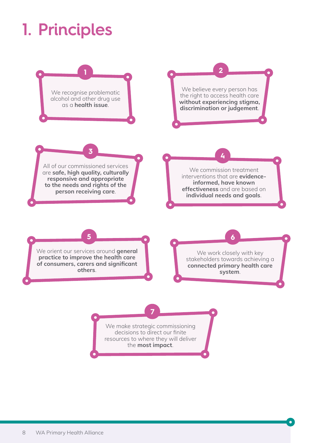# **1. Principles**

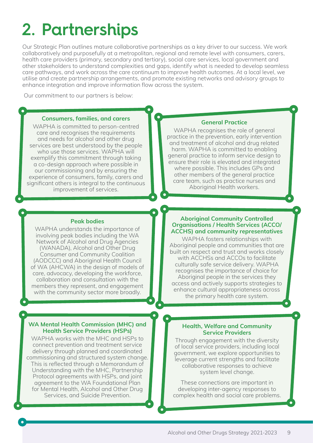# **2. Partnerships**

Our Strategic Plan outlines mature collaborative partnerships as a key driver to our success. We work collaboratively and purposefully at a metropolitan, regional and remote level with consumers, carers, health care providers (primary, secondary and tertiary), social care services, local government and other stakeholders to understand complexities and gaps, identify what is needed to develop seamless care pathways, and work across the care continuum to improve health outcomes. At a local level, we utilise and create partnership arrangements, and promote existing networks and advisory groups to enhance integration and improve information flow across the system.

Our commitment to our partners is below:

#### **Consumers, families, and carers**

WAPHA is committed to person-centred care and recognises the requirements and needs for alcohol and other drug services are best understood by the people who use those services. WAPHA will exemplify this commitment through taking a co-design approach where possible in our commissioning and by ensuring the experience of consumers, family, carers and significant others is integral to the continuous improvement of services.

#### **General Practice**

WAPHA recognises the role of general practice in the prevention, early intervention and treatment of alcohol and drug related harm. WAPHA is committed to enabling general practice to inform service design to ensure their role is elevated and integrated where possible. This includes GPs and other members of the general practice care team, such as practice nurses and Aboriginal Health workers.

#### **Peak bodies**

WAPHA understands the importance of involving peak bodies including the WA Network of Alcohol and Drug Agencies (WANADA), Alcohol and Other Drug Consumer and Community Coalition (AODCCC) and Aboriginal Health Council of WA (AHCWA) in the design of models of care, advocacy, developing the workforce, collaboration and consultation with the members they represent, and engagement with the community sector more broadly.

#### **WA Mental Health Commission (MHC) and Health Service Providers (HSPs)**

WAPHA works with the MHC and HSPs to connect prevention and treatment service delivery through planned and coordinated commissioning and structured system change. This is reflected through a Memorandum of Understanding with the MHC, Partnership Protocol agreements with HSPs, and joint agreement to the WA Foundational Plan for Mental Health, Alcohol and Other Drug Services, and Suicide Prevention.

#### **Aboriginal Community Controlled Organisations / Health Services (ACCO/ ACCHS) and community representatives**

WAPHA fosters relationships with Aboriginal people and communities that are built on respect and trust and works closely with ACCHSs and ACCOs to facilitate culturally safe service delivery. WAPHA recognises the importance of choice for Aboriginal people in the services they access and actively supports strategies to enhance cultural appropriateness across the primary health care system.

#### **Health, Welfare and Community Service Providers**

Through engagement with the diversity of local service providers, including local government, we explore opportunities to leverage current strengths and facilitate collaborative responses to achieve system level change.

These connections are important in developing inter-agency responses to complex health and social care problems.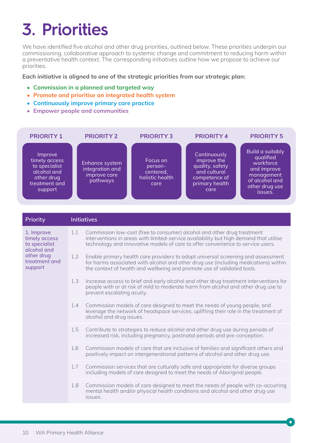# **3. Priorities**

We have identified five alcohol and other drug priorities, outlined below. These priorities underpin our commissioning, collaborative approach to systemic change and commitment to reducing harm within a preventative health context. The corresponding initiatives outline how we propose to achieve our priorities.

#### **Each initiative is aligned to one of the strategic priorities from our strategic plan:**

- **• Commission in a planned and targeted way**
- **• Promote and prioritise an integrated health system**
- **• Continuously improve primary care practice**
- **• Empower people and communities**

| <b>PRIORITY 1</b>                                                                                  | <b>PRIORITY 2</b>                                             | <b>PRIORITY 3</b>                                           | <b>PRIORITY 4</b>                                                                                         | <b>PRIORITY 5</b>                                                                                                      |
|----------------------------------------------------------------------------------------------------|---------------------------------------------------------------|-------------------------------------------------------------|-----------------------------------------------------------------------------------------------------------|------------------------------------------------------------------------------------------------------------------------|
| Improve<br>timely access<br>to specialist<br>alcohol and<br>other drug<br>treatment and<br>support | Enhance system<br>integration and<br>improve care<br>pathways | Focus on<br>person-<br>centered,<br>holistic health<br>care | Continuously<br>improve the<br>quality, safety<br>and cultural<br>competence of<br>primary health<br>care | Build a suitably<br>qualified<br>workforce<br>and improve<br>management<br>of alcohol and<br>other drug use<br>issues. |

| Priority                                                                                              |     | <b>Initiatives</b>                                                                                                                                                                                                                                  |
|-------------------------------------------------------------------------------------------------------|-----|-----------------------------------------------------------------------------------------------------------------------------------------------------------------------------------------------------------------------------------------------------|
| 1. Improve<br>timely access<br>to specialist<br>alcohol and<br>other drug<br>treatment and<br>support | 1.1 | Commission low-cost (free to consumer) alcohol and other drug treatment<br>interventions in areas with limited-service availability but high demand that utilise<br>technology and innovative models of care to offer convenience to service users. |
|                                                                                                       | 1.2 | Enable primary health care providers to adopt universal screening and assessment<br>for harms associated with alcohol and other drug use (including medications) within<br>the context of health and wellbeing and promote use of validated tools.  |
|                                                                                                       | 1.3 | Increase access to brief and early alcohol and other drug treatment interventions for<br>people with or at risk of mild to moderate harm from alcohol and other drug use to<br>prevent escalating acuity.                                           |
|                                                                                                       | 1.4 | Commission models of care designed to meet the needs of young people, and<br>leverage the network of headspace services, uplifting their role in the treatment of<br>alcohol and drug issues.                                                       |
|                                                                                                       | 1.5 | Contribute to strategies to reduce alcohol and other drug use during periods of<br>increased risk, including pregnancy, postnatal periods and pre-conception.                                                                                       |
|                                                                                                       | 1.6 | Commission models of care that are inclusive of families and significant others and<br>positively impact on intergenerational patterns of alcohol and other drug use.                                                                               |
|                                                                                                       | 1.7 | Commission services that are culturally safe and appropriate for diverse groups<br>including models of care designed to meet the needs of Aboriginal people.                                                                                        |
|                                                                                                       | 1.8 | Commission models of care designed to meet the needs of people with co-occurring<br>mental health and/or physical health conditions and alcohol and other drug use<br>issues.                                                                       |
|                                                                                                       |     |                                                                                                                                                                                                                                                     |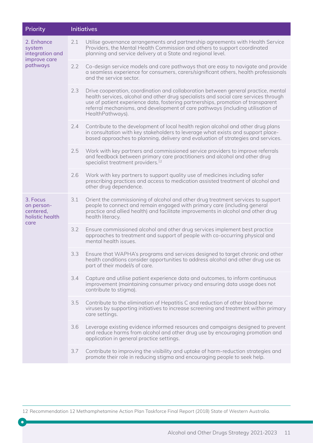| Priority                                                            | <b>Initiatives</b> |                                                                                                                                                                                                                                                                                                                                                                       |
|---------------------------------------------------------------------|--------------------|-----------------------------------------------------------------------------------------------------------------------------------------------------------------------------------------------------------------------------------------------------------------------------------------------------------------------------------------------------------------------|
| 2. Enhance<br>system<br>integration and<br>improve care<br>pathways | 2.1                | Utilise governance arrangements and partnership agreements with Health Service<br>Providers, the Mental Health Commission and others to support coordinated<br>planning and service delivery at a State and regional level.                                                                                                                                           |
|                                                                     | 2.2                | Co-design service models and care pathways that are easy to navigate and provide<br>a seamless experience for consumers, carers/significant others, health professionals<br>and the service sector.                                                                                                                                                                   |
|                                                                     | 2.3                | Drive cooperation, coordination and collaboration between general practice, mental<br>health services, alcohol and other drug specialists and social care services through<br>use of patient experience data, fostering partnerships, promotion of transparent<br>referral mechanisms, and development of care pathways (including utilisation of<br>HealthPathways). |
|                                                                     | 2.4                | Contribute to the development of local health region alcohol and other drug plans<br>in consultation with key stakeholders to leverage what exists and support place-<br>based approaches to planning, delivery and evaluation of strategies and services.                                                                                                            |
|                                                                     | 2.5                | Work with key partners and commissioned service providers to improve referrals<br>and feedback between primary care practitioners and alcohol and other drug<br>specialist treatment providers. <sup>12</sup>                                                                                                                                                         |
|                                                                     | 2.6                | Work with key partners to support quality use of medicines including safer<br>prescribing practices and access to medication assisted treatment of alcohol and<br>other drug dependence.                                                                                                                                                                              |
| 3. Focus<br>on person-<br>centered,<br>holistic health<br>care      | 3.1                | Orient the commissioning of alcohol and other drug treatment services to support<br>people to connect and remain engaged with primary care (including general<br>practice and allied health) and facilitate improvements in alcohol and other drug<br>health literacy.                                                                                                |
|                                                                     | 3.2                | Ensure commissioned alcohol and other drug services implement best practice<br>approaches to treatment and support of people with co-occurring physical and<br>mental health issues.                                                                                                                                                                                  |
|                                                                     | 3.3                | Ensure that WAPHA's programs and services designed to target chronic and other<br>health conditions consider opportunities to address alcohol and other drug use as<br>part of their model/s of care.                                                                                                                                                                 |
|                                                                     | 3.4                | Capture and utilise patient experience data and outcomes, to inform continuous<br>improvement (maintaining consumer privacy and ensuring data usage does not<br>contribute to stigma).                                                                                                                                                                                |
|                                                                     | 3.5                | Contribute to the elimination of Hepatitis C and reduction of other blood borne<br>viruses by supporting initiatives to increase screening and treatment within primary<br>care settings.                                                                                                                                                                             |
|                                                                     | 3.6                | Leverage existing evidence informed resources and campaigns designed to prevent<br>and reduce harms from alcohol and other drug use by encouraging promotion and<br>application in general practice settings.                                                                                                                                                         |
|                                                                     | 3.7                | Contribute to improving the visibility and uptake of harm-reduction strategies and<br>promote their role in reducing stigma and encouraging people to seek help.                                                                                                                                                                                                      |
|                                                                     |                    |                                                                                                                                                                                                                                                                                                                                                                       |

12 Recommendation 12 Methamphetamine Action Plan Taskforce Final Report (2018) State of Western Australia.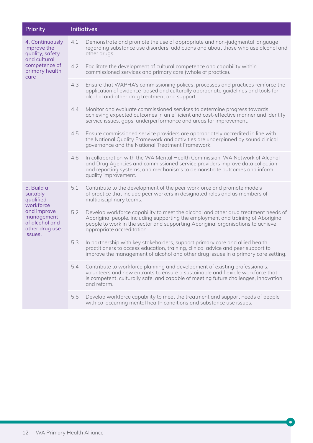| Priority                                                                                                     |     | <b>Initiatives</b>                                                                                                                                                                                                                                                                       |
|--------------------------------------------------------------------------------------------------------------|-----|------------------------------------------------------------------------------------------------------------------------------------------------------------------------------------------------------------------------------------------------------------------------------------------|
| 4. Continuously<br>improve the<br>quality, safety<br>and cultural<br>competence of<br>primary health<br>care | 4.1 | Demonstrate and promote the use of appropriate and non-judgmental language<br>regarding substance use disorders, addictions and about those who use alcohol and<br>other drugs.                                                                                                          |
|                                                                                                              | 4.2 | Facilitate the development of cultural competence and capability within<br>commissioned services and primary care (whole of practice).                                                                                                                                                   |
|                                                                                                              | 4.3 | Ensure that WAPHA's commissioning polices, processes and practices reinforce the<br>application of evidence-based and culturally appropriate guidelines and tools for<br>alcohol and other drug treatment and support.                                                                   |
|                                                                                                              | 4.4 | Monitor and evaluate commissioned services to determine progress towards<br>achieving expected outcomes in an efficient and cost-effective manner and identify<br>service issues, gaps, underperformance and areas for improvement.                                                      |
|                                                                                                              | 4.5 | Ensure commissioned service providers are appropriately accredited in line with<br>the National Quality Framework and activities are underpinned by sound clinical<br>governance and the National Treatment Framework.                                                                   |
|                                                                                                              | 4.6 | In collaboration with the WA Mental Health Commission, WA Network of Alcohol<br>and Drug Agencies and commissioned service providers improve data collection<br>and reporting systems, and mechanisms to demonstrate outcomes and inform<br>quality improvement.                         |
| 5. Build a<br>suitably<br>qualified                                                                          | 5.1 | Contribute to the development of the peer workforce and promote models<br>of practice that include peer workers in designated roles and as members of<br>multidisciplinary teams.                                                                                                        |
| workforce<br>and improve<br>management<br>of alcohol and<br>other drug use<br>issues.                        | 5.2 | Develop workforce capability to meet the alcohol and other drug treatment needs of<br>Aboriginal people, including supporting the employment and training of Aboriginal<br>people to work in the sector and supporting Aboriginal organisations to achieve<br>appropriate accreditation. |
|                                                                                                              | 5.3 | In partnership with key stakeholders, support primary care and allied health<br>practitioners to access education, training, clinical advice and peer support to<br>improve the management of alcohol and other drug issues in a primary care setting.                                   |
|                                                                                                              | 5.4 | Contribute to workforce planning and development of existing professionals,<br>volunteers and new entrants to ensure a sustainable and flexible workforce that<br>is competent, culturally safe, and capable of meeting future challenges, innovation<br>and reform.                     |
|                                                                                                              | 5.5 | Develop workforce capability to meet the treatment and support needs of people<br>with co-occurring mental health conditions and substance use issues.                                                                                                                                   |

×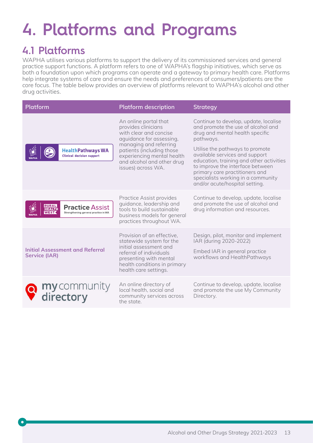# **4. Platforms and Programs**

### **4.1 Platforms**

WAPHA utilises various platforms to support the delivery of its commissioned services and general practice support functions. A platform refers to one of WAPHA's flagship initiatives, which serve as both a foundation upon which programs can operate and a gateway to primary health care. Platforms help integrate systems of care and ensure the needs and preferences of consumers/patients are the core focus. The table below provides an overview of platforms relevant to WAPHA's alcohol and other drug activities.

| Platform                                                                                                | <b>Platform description</b>                                                                                                                                                                                                                 | <b>Strategy</b>                                                                                                                                                                                                                                                                                                                                                                            |
|---------------------------------------------------------------------------------------------------------|---------------------------------------------------------------------------------------------------------------------------------------------------------------------------------------------------------------------------------------------|--------------------------------------------------------------------------------------------------------------------------------------------------------------------------------------------------------------------------------------------------------------------------------------------------------------------------------------------------------------------------------------------|
| <b>HealthPathways WA</b><br><b>Clinical decision support</b>                                            | An online portal that<br>provides clinicians<br>with clear and concise<br>aquidance for assessing,<br>managing and referring<br>patients (including those<br>experiencing mental health<br>and alcohol and other drug<br>issues) across WA. | Continue to develop, update, localise<br>and promote the use of alcohol and<br>drug and mental health specific<br>pathways.<br>Utilise the pathways to promote<br>available services and support<br>education, training and other activities<br>to improve the interface between<br>primary care practitioners and<br>specialists working in a community<br>and/or acute/hospital setting. |
| <b>RURAL</b><br>HEALTH<br><b>Practice Assist</b><br><b>WEST</b><br>Strengthening general practice in WA | Practice Assist provides<br>quidance, leadership and<br>tools to build sustainable<br>business models for general<br>practices throughout WA.                                                                                               | Continue to develop, update, localise<br>and promote the use of alcohol and<br>drug information and resources.                                                                                                                                                                                                                                                                             |
| <b>Initial Assessment and Referral</b><br><b>Service (IAR)</b>                                          | Provision of an effective,<br>statewide system for the<br>initial assessment and<br>referral of individuals<br>presenting with mental<br>health conditions in primary<br>health care settings.                                              | Design, pilot, monitor and implement<br>IAR (during 2020-2022)<br>Embed IAR in general practice<br>workflows and HealthPathways                                                                                                                                                                                                                                                            |
| my community<br>directory                                                                               | An online directory of<br>local health, social and<br>community services across<br>the state.                                                                                                                                               | Continue to develop, update, localise<br>and promote the use My Community<br>Directory.                                                                                                                                                                                                                                                                                                    |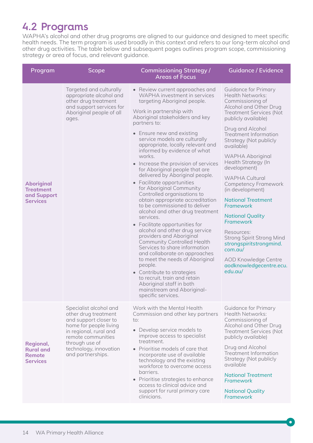### **4.2 Programs**

WAPHA's alcohol and other drug programs are aligned to our guidance and designed to meet specific health needs. The term program is used broadly in this context and refers to our long-term alcohol and other drug activities. The table below and subsequent pages outlines program scope, commissioning strategy or area of focus, and relevant guidance.

| Program                                                                 | <b>Scope</b>                                                                                                                                                                                                       | <b>Commissioning Strategy /</b><br><b>Areas of Focus</b>                                                                                                                                                                                                                                                                                                                                                                                                                                                                                                                                                                                                                                                                                                                                                                                                                                                                                                                                                                                                    | Guidance / Evidence                                                                                                                                                                                                                                                                                                                                                                                                                                                                                                                                                                                                                               |
|-------------------------------------------------------------------------|--------------------------------------------------------------------------------------------------------------------------------------------------------------------------------------------------------------------|-------------------------------------------------------------------------------------------------------------------------------------------------------------------------------------------------------------------------------------------------------------------------------------------------------------------------------------------------------------------------------------------------------------------------------------------------------------------------------------------------------------------------------------------------------------------------------------------------------------------------------------------------------------------------------------------------------------------------------------------------------------------------------------------------------------------------------------------------------------------------------------------------------------------------------------------------------------------------------------------------------------------------------------------------------------|---------------------------------------------------------------------------------------------------------------------------------------------------------------------------------------------------------------------------------------------------------------------------------------------------------------------------------------------------------------------------------------------------------------------------------------------------------------------------------------------------------------------------------------------------------------------------------------------------------------------------------------------------|
| <b>Aboriginal</b><br><b>Treatment</b><br>and Support<br><b>Services</b> | Targeted and culturally<br>appropriate alcohol and<br>other drug treatment<br>and support services for<br>Aboriginal people of all<br>ages.                                                                        | • Review current approaches and<br>WAPHA investment in services<br>targeting Aboriginal people.<br>Work in partnership with<br>Aboriginal stakeholders and key<br>partners to:<br>• Ensure new and existing<br>service models are culturally<br>appropriate, locally relevant and<br>informed by evidence of what<br>works.<br>• Increase the provision of services<br>for Aboriginal people that are<br>delivered by Aboriginal people.<br>• Facilitate opportunities<br>for Aboriginal Community<br>Controlled organisations to<br>obtain appropriate accreditation<br>to be commissioned to deliver<br>alcohol and other drug treatment<br>services.<br>• Facilitate opportunities for<br>alcohol and other drug service<br>providers and Aboriginal<br><b>Community Controlled Health</b><br>Services to share information<br>and collaborate on approaches<br>to meet the needs of Aboriginal<br>people.<br>• Contribute to strategies<br>to recruit, train and retain<br>Aboriginal staff in both<br>mainstream and Aboriginal-<br>specific services. | <b>Guidance for Primary</b><br>Health Networks:<br>Commissioning of<br>Alcohol and Other Drug<br><b>Treatment Services (Not</b><br>publicly available)<br>Drug and Alcohol<br><b>Treatment Information</b><br>Strategy (Not publicly<br>available)<br><b>WAPHA Aboriginal</b><br>Health Strategy (In<br>development)<br><b>WAPHA Cultural</b><br>Competency Framework<br>(in development)<br><b>National Treatment</b><br>Framework<br><b>National Quality</b><br>Framework<br>Resources:<br><b>Strong Spirit Strong Mind</b><br>strongspiritstrongmind.<br>$com. \alpha u/$<br><b>AOD Knowledge Centre</b><br>aodknowledgecentre.ecu.<br>edu.au/ |
| Regional,<br><b>Rural and</b><br><b>Remote</b><br><b>Services</b>       | Specialist alcohol and<br>other drug treatment<br>and support closer to<br>home for people living<br>in regional, rural and<br>remote communities<br>through use of<br>technology, innovation<br>and partnerships. | Work with the Mental Health<br>Commission and other key partners<br>to:<br>• Develop service models to<br>improve access to specialist<br>treatment.<br>• Prioritise models of care that<br>incorporate use of available<br>technology and the existing<br>workforce to overcome access<br>barriers.<br>• Prioritise strategies to enhance<br>access to clinical advice and<br>support for rural primary care<br>clinicians.                                                                                                                                                                                                                                                                                                                                                                                                                                                                                                                                                                                                                                | <b>Guidance for Primary</b><br>Health Networks:<br>Commissioning of<br>Alcohol and Other Drug<br><b>Treatment Services (Not</b><br>publicly available)<br>Drug and Alcohol<br><b>Treatment Information</b><br>Strategy (Not publicly<br>available<br><b>National Treatment</b><br>Framework<br><b>National Quality</b><br>Framework                                                                                                                                                                                                                                                                                                               |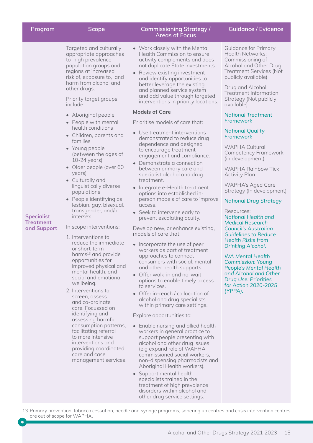| Program                                       | <b>Scope</b>                                                                                                                                                                                                                                                                                                                                                                                                                                                                                                                                                                                                                                                                                                                                                                                                                                                                                                                                                                                                                                                                                                                          | <b>Commissioning Strategy /</b><br><b>Areas of Focus</b>                                                                                                                                                                                                                                                                                                                                                                                                                                                                                                                                                                                                                                                                                                                                                                                                                                                                                                                                                                                                                                                                                                                                                                                                                                                                                                                                                                                                                                                                                                                                                                                                                                    | <b>Guidance / Evidence</b>                                                                                                                                                                                                                                                                                                                                                                                                                                                                                                                                                                                                                                                                                                                                                                                                                                                                                                        |
|-----------------------------------------------|---------------------------------------------------------------------------------------------------------------------------------------------------------------------------------------------------------------------------------------------------------------------------------------------------------------------------------------------------------------------------------------------------------------------------------------------------------------------------------------------------------------------------------------------------------------------------------------------------------------------------------------------------------------------------------------------------------------------------------------------------------------------------------------------------------------------------------------------------------------------------------------------------------------------------------------------------------------------------------------------------------------------------------------------------------------------------------------------------------------------------------------|---------------------------------------------------------------------------------------------------------------------------------------------------------------------------------------------------------------------------------------------------------------------------------------------------------------------------------------------------------------------------------------------------------------------------------------------------------------------------------------------------------------------------------------------------------------------------------------------------------------------------------------------------------------------------------------------------------------------------------------------------------------------------------------------------------------------------------------------------------------------------------------------------------------------------------------------------------------------------------------------------------------------------------------------------------------------------------------------------------------------------------------------------------------------------------------------------------------------------------------------------------------------------------------------------------------------------------------------------------------------------------------------------------------------------------------------------------------------------------------------------------------------------------------------------------------------------------------------------------------------------------------------------------------------------------------------|-----------------------------------------------------------------------------------------------------------------------------------------------------------------------------------------------------------------------------------------------------------------------------------------------------------------------------------------------------------------------------------------------------------------------------------------------------------------------------------------------------------------------------------------------------------------------------------------------------------------------------------------------------------------------------------------------------------------------------------------------------------------------------------------------------------------------------------------------------------------------------------------------------------------------------------|
| <b>Specialist</b><br>Treatment<br>and Support | Targeted and culturally<br>appropriate approaches<br>to high prevalence<br>population groups and<br>regions at increased<br>risk of, exposure to, and<br>harm from alcohol and<br>other drugs.<br>Priority target groups<br>include:<br>• Aboriginal people<br>• People with mental<br>health conditions<br>• Children, parents and<br>families<br>• Young people<br>(between the ages of<br>$10-24$ years)<br>• Older people (over 60<br>years)<br>• Culturally and<br>linguistically diverse<br>populations<br>• People identifying as<br>lesbian, gay, bisexual,<br>transgender, and/or<br>intersex<br>In scope interventions:<br>1. Interventions to<br>reduce the immediate<br>or short-term<br>harms <sup>13</sup> and provide<br>opportunities for<br>improved physical and<br>mental health, and<br>social and emotional<br>wellbeing.<br>2. Interventions to<br>screen, assess<br>and co-ordinate<br>care. Focussed on<br>identifying and<br>assessing harmful<br>consumption patterns,<br>facilitating referral<br>to more intensive<br>interventions and<br>providing coordinated<br>care and case<br>management services. | • Work closely with the Mental<br>Health Commission to ensure<br>activity complements and does<br>not duplicate State investments.<br>• Review existing investment<br>and identify opportunities to<br>better leverage the existing<br>and planned service system<br>and add value through targeted<br>interventions in priority locations.<br><b>Models of Care</b><br>Prioritise models of care that:<br>• Use treatment interventions<br>demonstrated to reduce drug<br>dependence and designed<br>to encourage treatment<br>engagement and compliance.<br>Demonstrate a connection<br>between primary care and<br>specialist alcohol and drug<br>treatment.<br>• Integrate e-Health treatment<br>options into established in-<br>person models of care to improve<br>access.<br>• Seek to intervene early to<br>prevent escalating acuity.<br>Develop new, or enhance existing,<br>models of care that:<br>• Incorporate the use of peer<br>workers as part of treatment<br>approaches to connect<br>consumers with social, mental<br>and other health supports.<br>• Offer walk-in and no-wait<br>options to enable timely access<br>to services.<br>• Offer in-reach / co location of<br>alcohol and drug specialists<br>within primary care settings.<br>Explore opportunities to:<br>• Enable nursing and allied health<br>workers in general practice to<br>support people presenting with<br>alcohol and other drug issues<br>(e.g expand role of WAPHA<br>commissioned social workers,<br>non-dispensing pharmacists and<br>Aboriginal Health workers).<br>• Support mental health<br>specialists trained in the<br>treatment of high prevalence<br>disorders within alcohol and | <b>Guidance for Primary</b><br>Health Networks:<br>Commissioning of<br>Alcohol and Other Drug<br><b>Treatment Services (Not</b><br>publicly available)<br>Drug and Alcohol<br><b>Treatment Information</b><br>Strategy (Not publicly<br>available)<br><b>National Treatment</b><br>Framework<br><b>National Quality</b><br>Framework<br><b>WAPHA Cultural</b><br>Competency Framework<br>(in development)<br><b>WAPHA Rainbow Tick</b><br><b>Activity Plan</b><br><b>WAPHA's Aged Care</b><br>Strategy (In development)<br><b>National Drug Strategy</b><br>Resources:<br><b>National Health and</b><br><b>Medical Research</b><br><b>Council's Australian</b><br><b>Guidelines to Reduce</b><br><b>Health Risks from</b><br>Drinking Alcohol.<br><b>WA Mental Health</b><br><b>Commission: Young</b><br><b>People's Mental Health</b><br>and Alcohol and Other<br><b>Drug Use: Priorities</b><br>for Action 2020-2025<br>(YPPA). |

13 Primary prevention, tobacco cessation, needle and syringe programs, sobering up centres and crisis intervention centres are out of scope for WAPHA.

 $\bullet$ 

other drug service settings.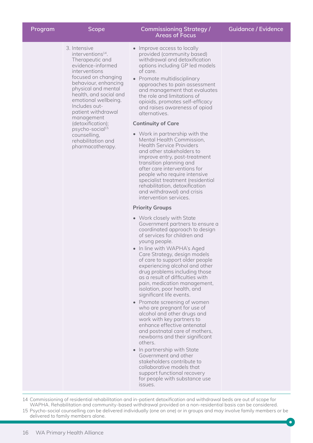| Program | <b>Scope</b>                                                                                                                                                                                                                                                                                                                                                                                      | <b>Commissioning Strategy /</b><br><b>Areas of Focus</b>                                                                                                                                                                                                                                                                                                                                                                                                                                                                                                                                                                                                                                                                                                                                                                                                                                                                                                                                                                                                                                                                                                                                                                                                                                                                                                                                                                                                                                                                                                                                                                                                                                                     | <b>Guidance / Evidence</b> |
|---------|---------------------------------------------------------------------------------------------------------------------------------------------------------------------------------------------------------------------------------------------------------------------------------------------------------------------------------------------------------------------------------------------------|--------------------------------------------------------------------------------------------------------------------------------------------------------------------------------------------------------------------------------------------------------------------------------------------------------------------------------------------------------------------------------------------------------------------------------------------------------------------------------------------------------------------------------------------------------------------------------------------------------------------------------------------------------------------------------------------------------------------------------------------------------------------------------------------------------------------------------------------------------------------------------------------------------------------------------------------------------------------------------------------------------------------------------------------------------------------------------------------------------------------------------------------------------------------------------------------------------------------------------------------------------------------------------------------------------------------------------------------------------------------------------------------------------------------------------------------------------------------------------------------------------------------------------------------------------------------------------------------------------------------------------------------------------------------------------------------------------------|----------------------------|
|         | 3. Intensive<br>interventions <sup>14</sup> .<br>Therapeutic and<br>evidence-informed<br>interventions<br>focused on changing<br>behaviour, enhancing<br>physical and mental<br>health, and social and<br>emotional wellbeing.<br>Includes out-<br>patient withdrawal<br>management<br>(detoxification);<br>psycho-social <sup>15</sup><br>counselling,<br>rehabilitation and<br>pharmacotherapy. | • Improve access to locally<br>provided (community based)<br>withdrawal and detoxification<br>options including GP led models<br>of care.<br>• Promote multidisciplinary<br>approaches to pain assessment<br>and management that evaluates<br>the role and limitations of<br>opioids, promotes self-efficacy<br>and raises awareness of opiod<br>alternatives.<br><b>Continuity of Care</b><br>• Work in partnership with the<br>Mental Health Commission,<br><b>Health Service Providers</b><br>and other stakeholders to<br>improve entry, post-treatment<br>transition planning and<br>after care interventions for<br>people who require intensive<br>specialist treatment (residential<br>rehabilitation, detoxification<br>and withdrawal) and crisis<br>intervention services.<br><b>Priority Groups</b><br>• Work closely with State<br>Government partners to ensure a<br>coordinated approach to design<br>of services for children and<br>young people.<br>• In line with WAPHA's Aged<br>Care Strategy, design models<br>of care to support older people<br>experiencing alcohol and other<br>drug problems including those<br>as a result of difficulties with<br>pain, medication management,<br>isolation, poor health, and<br>significant life events.<br>• Promote screening of women<br>who are pregnant for use of<br>alcohol and other drugs and<br>work with key partners to<br>enhance effective antenatal<br>and postnatal care of mothers,<br>newborns and their significant<br>others.<br>• In partnership with State<br>Government and other<br>stakeholders contribute to<br>collaborative models that<br>support functional recovery<br>for people with substance use<br>issues. |                            |

14 Commissioning of residential rehabilitation and in-patient detoxification and withdrawal beds are out of scope for WAPHA. Rehabilitation and community-based withdrawal provided on a non-residential basis can be considered. 15 Psycho-social counselling can be delivered individually (one on one) or in groups and may involve family members or be delivered to family members alone.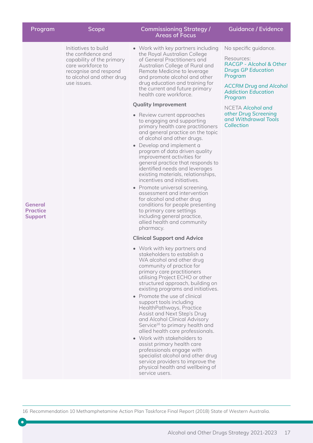| Program                                      | <b>Scope</b>                                                                                                                                                      | <b>Commissioning Strategy /</b><br><b>Areas of Focus</b>                                                                                                                                                                                                                                                                                                                                                                                                                                                                                                                                                                                                                                                                                                                                                                                                                                                                                                                                                                                                                                                                                                                                                                                                                                                                                                                                                                                                                                                                                                                                                                                                                                                                                                                   | <b>Guidance / Evidence</b>                                                                                                                                                                                                                                          |
|----------------------------------------------|-------------------------------------------------------------------------------------------------------------------------------------------------------------------|----------------------------------------------------------------------------------------------------------------------------------------------------------------------------------------------------------------------------------------------------------------------------------------------------------------------------------------------------------------------------------------------------------------------------------------------------------------------------------------------------------------------------------------------------------------------------------------------------------------------------------------------------------------------------------------------------------------------------------------------------------------------------------------------------------------------------------------------------------------------------------------------------------------------------------------------------------------------------------------------------------------------------------------------------------------------------------------------------------------------------------------------------------------------------------------------------------------------------------------------------------------------------------------------------------------------------------------------------------------------------------------------------------------------------------------------------------------------------------------------------------------------------------------------------------------------------------------------------------------------------------------------------------------------------------------------------------------------------------------------------------------------------|---------------------------------------------------------------------------------------------------------------------------------------------------------------------------------------------------------------------------------------------------------------------|
| General<br><b>Practice</b><br><b>Support</b> | Initiatives to build<br>the confidence and<br>capability of the primary<br>care workforce to<br>recognise and respond<br>to alcohol and other drug<br>use issues. | • Work with key partners including<br>the Royal Australian College<br>of General Practitioners and<br>Australian College of Rural and<br>Remote Medicine to leverage<br>and promote alcohol and other<br>drug education and training for<br>the current and future primary<br>health care workforce.<br><b>Quality Improvement</b><br>• Review current approaches<br>to engaging and supporting<br>primary health care practitioners<br>and general practice on the topic<br>of alcohol and other drugs.<br>• Develop and implement a<br>program of data driven quality<br>improvement activities for<br>general practice that responds to<br>identified needs and leverages<br>existing materials, relationships,<br>incentives and initiatives.<br>• Promote universal screening,<br>assessment and intervention<br>for alcohol and other drug<br>conditions for people presenting<br>to primary care settings<br>including general practice,<br>allied health and community<br>pharmacy.<br><b>Clinical Support and Advice</b><br>• Work with key partners and<br>stakeholders to establish a<br>WA alcohol and other drug<br>community of practice for<br>primary care practitioners<br>utilising Project ECHO or other<br>structured approach, building on<br>existing programs and initiatives.<br>• Promote the use of clinical<br>support tools including<br>HealthPathways, Practice<br>Assist and Next Step's Drug<br>and Alcohol Clinical Advisory<br>Service <sup>16</sup> to primary health and<br>allied health care professionals.<br>• Work with stakeholders to<br>assist primary health care<br>professionals engage with<br>specialist alcohol and other drug<br>service providers to improve the<br>physical health and wellbeing of<br>service users. | No specific guidance.<br>Resources:<br>RACGP - Alcohol & Other<br><b>Drugs GP Education</b><br>Program<br><b>ACCRM Drug and Alcohol</b><br><b>Addiction Education</b><br>Program<br>NCETA Alcohol and<br>other Drug Screening<br>and Withdrawal Tools<br>Collection |
|                                              |                                                                                                                                                                   |                                                                                                                                                                                                                                                                                                                                                                                                                                                                                                                                                                                                                                                                                                                                                                                                                                                                                                                                                                                                                                                                                                                                                                                                                                                                                                                                                                                                                                                                                                                                                                                                                                                                                                                                                                            |                                                                                                                                                                                                                                                                     |

16 Recommendation 10 Methamphetamine Action Plan Taskforce Final Report (2018) State of Western Australia.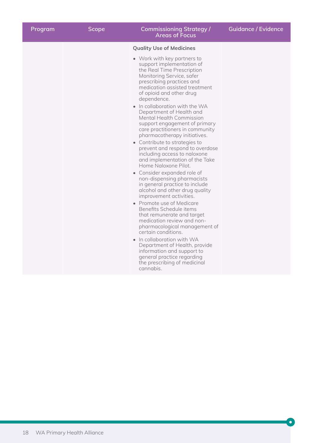| Program | <b>Scope</b> | <b>Commissioning Strategy /</b><br><b>Areas of Focus</b>                                                                                                                                                                                                                                                                                                                                                                                                                                              | <b>Guidance / Evidence</b> |
|---------|--------------|-------------------------------------------------------------------------------------------------------------------------------------------------------------------------------------------------------------------------------------------------------------------------------------------------------------------------------------------------------------------------------------------------------------------------------------------------------------------------------------------------------|----------------------------|
|         |              | <b>Quality Use of Medicines</b>                                                                                                                                                                                                                                                                                                                                                                                                                                                                       |                            |
|         |              | • Work with key partners to<br>support implementation of<br>the Real Time Prescription<br>Monitoring Service, safer<br>prescribing practices and<br>medication assisted treatment<br>of opioid and other drug<br>dependence.<br>• In collaboration with the WA<br>Department of Health and<br><b>Mental Health Commission</b><br>support engagement of primary<br>care practitioners in community<br>pharmacotherapy initiatives.<br>• Contribute to strategies to<br>prevent and respond to overdose |                            |
|         |              | including access to naloxone<br>and implementation of the Take<br>Home Naloxone Pilot.                                                                                                                                                                                                                                                                                                                                                                                                                |                            |
|         |              | • Consider expanded role of<br>non-dispensing pharmacists<br>in general practice to include<br>alcohol and other drug quality<br>improvement activities.                                                                                                                                                                                                                                                                                                                                              |                            |
|         |              | • Promote use of Medicare<br>Benefits Schedule items<br>that remunerate and target<br>medication review and non-<br>pharmacological management of<br>certain conditions.                                                                                                                                                                                                                                                                                                                              |                            |
|         |              | • In collaboration with WA<br>Department of Health, provide<br>information and support to<br>general practice regarding<br>the prescribing of medicinal<br>cannabis.                                                                                                                                                                                                                                                                                                                                  |                            |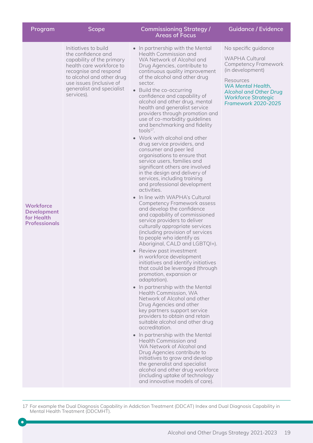| Program                                                                      | <b>Scope</b>                                                                                                                                                                                                                     | <b>Commissioning Strategy /</b><br><b>Areas of Focus</b>                                                                                                                                                                                                                                                                                                                                                                                                                                                                                                                                                                                                                                                                                                                                                                                                                                                                                                                                                                                                                                                                                                                                                                                                                                                                                                                                                                                                                                                                                                                                                                                                                                                                                                                                                             | Guidance / Evidence                                                                                                                                                                                                             |
|------------------------------------------------------------------------------|----------------------------------------------------------------------------------------------------------------------------------------------------------------------------------------------------------------------------------|----------------------------------------------------------------------------------------------------------------------------------------------------------------------------------------------------------------------------------------------------------------------------------------------------------------------------------------------------------------------------------------------------------------------------------------------------------------------------------------------------------------------------------------------------------------------------------------------------------------------------------------------------------------------------------------------------------------------------------------------------------------------------------------------------------------------------------------------------------------------------------------------------------------------------------------------------------------------------------------------------------------------------------------------------------------------------------------------------------------------------------------------------------------------------------------------------------------------------------------------------------------------------------------------------------------------------------------------------------------------------------------------------------------------------------------------------------------------------------------------------------------------------------------------------------------------------------------------------------------------------------------------------------------------------------------------------------------------------------------------------------------------------------------------------------------------|---------------------------------------------------------------------------------------------------------------------------------------------------------------------------------------------------------------------------------|
| <b>Workforce</b><br><b>Development</b><br>for Health<br><b>Professionals</b> | Initiatives to build<br>the confidence and<br>capability of the primary<br>health care workforce to<br>recognise and respond<br>to alcohol and other drug<br>use issues (inclusive of<br>generalist and specialist<br>services). | • In partnership with the Mental<br>Health Commission and<br>WA Network of Alcohol and<br>Drug Agencies, contribute to<br>continuous quality improvement<br>of the alcohol and other drug<br>sector.<br>• Build the co-occurring<br>confidence and capability of<br>alcohol and other drug, mental<br>health and generalist service<br>providers through promotion and<br>use of co-morbidity guidelines<br>and benchmarking and fidelity<br>tool $s^{17}$ .<br>• Work with alcohol and other<br>drug service providers, and<br>consumer and peer led<br>organisations to ensure that<br>service users, families and<br>significant others are involved<br>in the design and delivery of<br>services, including training<br>and professional development<br>activities.<br>• In line with WAPHA's Cultural<br>Competency Framework assess<br>and develop the confidence<br>and capability of commissioned<br>service providers to deliver<br>culturally appropriate services<br>(including provision of services<br>to people who identify as<br>Aboriginal, CALD and LGBTQI+).<br>• Review past investment<br>in workforce development<br>initiatives and identify initiatives<br>that could be leveraged (through<br>promotion, expansion or<br>adaptation).<br>• In partnership with the Mental<br>Health Commission, WA<br>Network of Alcohol and other<br>Drug Agencies and other<br>key partners support service<br>providers to obtain and retain<br>suitable alcohol and other drug<br>accreditation.<br>• In partnership with the Mental<br>Health Commission and<br>WA Network of Alcohol and<br>Drug Agencies contribute to<br>initiatives to grow and develop<br>the generalist and specialist<br>alcohol and other drug workforce<br>(including uptake of technology<br>and innovative models of care). | No specific guidance<br><b>WAPHA Cultural</b><br><b>Competency Framework</b><br>(in development)<br>Resources<br>WA Mental Health,<br><b>Alcohol and Other Drug</b><br><b>Workforce Strategic</b><br><b>Framework 2020-2025</b> |

17 For example the Dual Diagnosis Capability in Addiction Treatment (DDCAT) Index and Dual Diagnosis Capability in Mental Health Treatment (DDCMHT).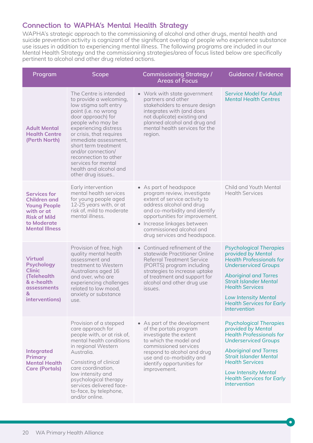### **Connection to WAPHA's Mental Health Strategy**

WAPHA's strategic approach to the commissioning of alcohol and other drugs, mental health and suicide prevention activity is cognizant of the significant overlap of people who experience substance use issues in addition to experiencing mental illness. The following programs are included in our Mental Health Strategy and the commissioning strategies/area of focus listed below are specifically pertinent to alcohol and other drug related actions.

| Program                                                                                                                                        | <b>Scope</b>                                                                                                                                                                                                                                                                                                                                                             | <b>Commissioning Strategy /</b><br><b>Areas of Focus</b>                                                                                                                                                                                                                         | <b>Guidance / Evidence</b>                                                                                                                                                                                                                                                                           |
|------------------------------------------------------------------------------------------------------------------------------------------------|--------------------------------------------------------------------------------------------------------------------------------------------------------------------------------------------------------------------------------------------------------------------------------------------------------------------------------------------------------------------------|----------------------------------------------------------------------------------------------------------------------------------------------------------------------------------------------------------------------------------------------------------------------------------|------------------------------------------------------------------------------------------------------------------------------------------------------------------------------------------------------------------------------------------------------------------------------------------------------|
| <b>Adult Mental</b><br><b>Health Centre</b><br>(Perth North)                                                                                   | The Centre is intended<br>to provide a welcoming,<br>low stigma soft entry<br>point (i.e. no wrong<br>door approach) for<br>people who may be<br>experiencing distress<br>or crisis, that requires<br>immediate assessment.<br>short term treatment<br>and/or connection/<br>reconnection to other<br>services for mental<br>health and alcohol and<br>other drug issues | • Work with state government<br>partners and other<br>stakeholders to ensure design<br>integrates with (and does<br>not duplicate) existing and<br>planned alcohol and drug and<br>mental health services for the<br>region.                                                     | <b>Service Model for Adult</b><br><b>Mental Health Centres</b>                                                                                                                                                                                                                                       |
| <b>Services for</b><br><b>Children and</b><br><b>Young People</b><br>with or at<br><b>Risk of Mild</b><br>to Moderate<br><b>Mental Illness</b> | Early intervention<br>mental health services<br>for young people aged<br>12-25 years with, or at<br>risk of, mild to moderate<br>mental illness.                                                                                                                                                                                                                         | • As part of headspace<br>program review, investigate<br>extent of service activity to<br>address alcohol and drug<br>and co-morbidity and identify<br>opportunities for improvement.<br>• Increase linkages between<br>commissioned alcohol and<br>drug services and headspace. | Child and Youth Mental<br><b>Health Services</b>                                                                                                                                                                                                                                                     |
| <b>Virtual</b><br><b>Psychology</b><br><b>Clinic</b><br>(Telehealth<br>& e-health<br>assessments<br>&<br>interventions)                        | Provision of free, high<br>quality mental health<br>assessment and<br>treatment to Western<br>Australians aged 16<br>and over, who are<br>experiencing challenges<br>related to low mood,<br>anxiety or substance<br>use.                                                                                                                                                | • Continued refinement of the<br>statewide Practitioner Online<br><b>Referral Treatment Service</b><br>(PORTS) program including<br>strategies to increase uptake<br>of treatment and support for<br>alcohol and other drug use<br>issues.                                       | <b>Psychological Therapies</b><br>provided by Mental<br><b>Health Professionals for</b><br><b>Underserviced Groups</b><br><b>Aboriginal and Torres</b><br><b>Strait Islander Mental</b><br><b>Health Services</b><br><b>Low Intensity Mental</b><br><b>Health Services for Early</b><br>Intervention |
| <b>Integrated</b><br><b>Primary</b><br><b>Mental Health</b><br><b>Care (Portals)</b>                                                           | Provision of a stepped<br>care approach for<br>people with, or at risk of,<br>mental health conditions<br>in regional Western<br>Australia.<br>Consisting of clinical<br>care coordination,<br>low intensity and<br>psychological therapy<br>services delivered face-<br>to-face, by telephone,<br>and/or online.                                                        | • As part of the development<br>of the portals program<br>investigate the extent<br>to which the model and<br>commissioned services<br>respond to alcohol and drug<br>use and co-morbidity and<br>identify opportunities for<br>improvement.                                     | <b>Psychological Therapies</b><br>provided by Mental<br><b>Health Professionals for</b><br><b>Underserviced Groups</b><br><b>Aboriginal and Torres</b><br><b>Strait Islander Mental</b><br><b>Health Services</b><br><b>Low Intensity Mental</b><br><b>Health Services for Early</b><br>Intervention |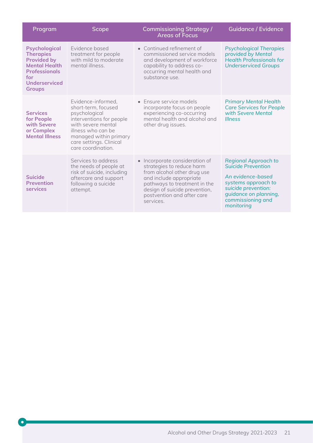| Program                                                                                                                                                        | <b>Scope</b>                                                                                                                                                                                                  | <b>Commissioning Strategy /</b><br><b>Areas of Focus</b>                                                                                                                                                                                     | <b>Guidance / Evidence</b>                                                                                                                                                              |
|----------------------------------------------------------------------------------------------------------------------------------------------------------------|---------------------------------------------------------------------------------------------------------------------------------------------------------------------------------------------------------------|----------------------------------------------------------------------------------------------------------------------------------------------------------------------------------------------------------------------------------------------|-----------------------------------------------------------------------------------------------------------------------------------------------------------------------------------------|
| <b>Psychological</b><br><b>Therapies</b><br><b>Provided by</b><br><b>Mental Health</b><br><b>Professionals</b><br>for<br><b>Underserviced</b><br><b>Groups</b> | Evidence based<br>treatment for people<br>with mild to moderate<br>mental illness.                                                                                                                            | • Continued refinement of<br>commissioned service models<br>and development of workforce<br>capability to address co-<br>occurring mental health and<br>substance use.                                                                       | <b>Psychological Therapies</b><br>provided by Mental<br><b>Health Professionals for</b><br><b>Underserviced Groups</b>                                                                  |
| <b>Services</b><br>for People<br>with Severe<br>or Complex<br><b>Mental Illness</b>                                                                            | Evidence-informed,<br>short-term, focused<br>psychological<br>interventions for people<br>with severe mental<br>illness who can be<br>managed within primary<br>care settings. Clinical<br>care coordination. | • Ensure service models<br>incorporate focus on people<br>experiencing co-occurring<br>mental health and alcohol and<br>other drug issues.                                                                                                   | <b>Primary Mental Health</b><br><b>Care Services for People</b><br>with Severe Mental<br><b>Illness</b>                                                                                 |
| <b>Suicide</b><br><b>Prevention</b><br>services                                                                                                                | Services to address<br>the needs of people at<br>risk of suicide, including<br>aftercare and support<br>following a suicide<br>attempt.                                                                       | Incorporate consideration of<br>$\bullet$<br>strategies to reduce harm<br>from alcohol other drug use<br>and include appropriate<br>pathways to treatment in the<br>design of suicide prevention,<br>postvention and after care<br>services. | <b>Regional Approach to</b><br><b>Suicide Prevention</b><br>An evidence-based<br>systems approach to<br>suicide prevention:<br>guidance on planning,<br>commissioning and<br>monitoring |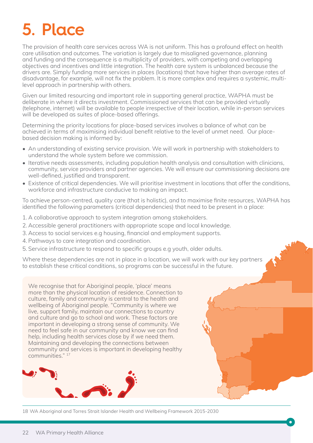# **5. Place**

The provision of health care services across WA is not uniform. This has a profound effect on health care utilisation and outcomes. The variation is largely due to misaligned governance, planning and funding and the consequence is a multiplicity of providers, with competing and overlapping objectives and incentives and little integration. The health care system is unbalanced because the drivers are. Simply funding more services in places (locations) that have higher than average rates of disadvantage, for example, will not fix the problem. It is more complex and requires a systemic, multilevel approach in partnership with others.

Given our limited resourcing and important role in supporting general practice, WAPHA must be deliberate in where it directs investment. Commissioned services that can be provided virtually (telephone, internet) will be available to people irrespective of their location, while in-person services will be developed as suites of place-based offerings.

Determining the priority locations for place-based services involves a balance of what can be achieved in terms of maximising individual benefit relative to the level of unmet need. Our placebased decision making is informed by:

- An understanding of existing service provision. We will work in partnership with stakeholders to understand the whole system before we commission.
- Iterative needs assessments, including population health analysis and consultation with clinicians, community, service providers and partner agencies. We will ensure our commissioning decisions are well-defined, justified and transparent.
- Existence of critical dependencies. We will prioritise investment in locations that offer the conditions, workforce and infrastructure conducive to making an impact.

To achieve person-centred, quality care (that is holistic), and to maximise finite resources, WAPHA has identified the following parameters (critical dependencies) that need to be present in a place:

- 1. A collaborative approach to system integration among stakeholders.
- 2. Accessible general practitioners with appropriate scope and local knowledge.
- 3. Access to social services e.g housing, financial and employment supports.
- 4. Pathways to care integration and coordination.
- 5. Service infrastructure to respond to specific groups e.g youth, older adults.

Where these dependencies are not in place in a location, we will work with our key partners to establish these critical conditions, so programs can be successful in the future.

We recognise that for Aboriginal people, 'place' means more than the physical location of residence. Connection to culture, family and community is central to the health and wellbeing of Aboriginal people. "Community is where we live, support family, maintain our connections to country and culture and go to school and work. These factors are important in developing a strong sense of community. We need to feel safe in our community and know we can find help, including health services close by if we need them. Maintaining and developing the connections between community and services is important in developing healthy communities." <sup>17</sup>



18 WA Aboriginal and Torres Strait Islander Health and Wellbeing Framework 2015-2030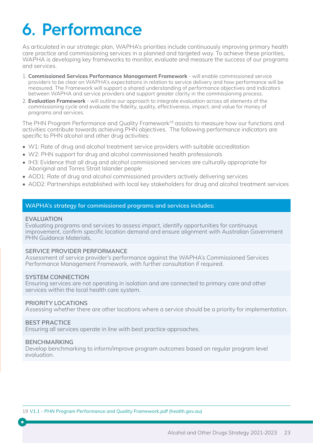## **6. Performance**

As articulated in our strategic plan, WAPHA's priorities include continuously improving primary health care practice and commissioning services in a planned and targeted way. To achieve these priorities, WAPHA is developing key frameworks to monitor, evaluate and measure the success of our programs and services.

- 1. **Commissioned Services Performance Management Framework** will enable commissioned service providers to be clear on WAPHA's expectations in relation to service delivery and how performance will be measured. The Framework will support a shared understanding of performance objectives and indicators between WAPHA and service providers and support greater clarity in the commissioning process.
- 2. **Evaluation Framework** will outline our approach to integrate evaluation across all elements of the commissioning cycle and evaluate the fidelity, quality, effectiveness, impact, and value for money of programs and services.

The PHN Program Performance and Quality Framework<sup>19</sup> assists to measure how our functions and activities contribute towards achieving PHN objectives. The following performance indicators are specific to PHN alcohol and other drug activities:

- W1: Rate of drug and alcohol treatment service providers with suitable accreditation
- W2: PHN support for drug and alcohol commissioned health professionals
- IH3: Evidence that all drug and alcohol commissioned services are culturally appropriate for Aboriginal and Torres Strait Islander people
- AOD1: Rate of drug and alcohol commissioned providers actively delivering services
- AOD2: Partnerships established with local key stakeholders for drug and alcohol treatment services

#### **WAPHA's strategy for commissioned programs and services includes:**

#### **EVALUATION**

Evaluating programs and services to assess impact, identify opportunities for continuous improvement, confirm specific location demand and ensure alignment with Australian Government PHN Guidance Materials.

#### **SERVICE PROVIDER PERFORMANCE**

Assessment of service provider's performance against the WAPHA's Commissioned Services Performance Management Framework, with further consultation if required.

#### **SYSTEM CONNECTION**

Ensuring services are not operating in isolation and are connected to primary care and other services within the local health care system.

#### **PRIORITY LOCATIONS**

Assessing whether there are other locations where a service should be a priority for implementation.

#### **BEST PRACTICE**

Ensuring all services operate in line with best practice approaches.

#### **BENCHMARKING**

Develop benchmarking to inform/improve program outcomes based on regular program level evaluation.